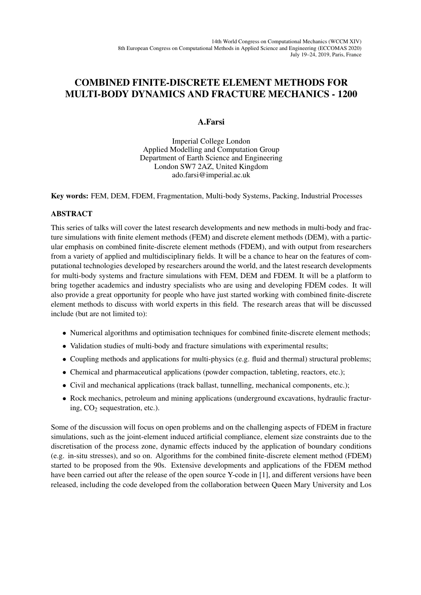## COMBINED FINITE-DISCRETE ELEMENT METHODS FOR MULTI-BODY DYNAMICS AND FRACTURE MECHANICS - 1200

## A.Farsi

Imperial College London Applied Modelling and Computation Group Department of Earth Science and Engineering London SW7 2AZ, United Kingdom ado.farsi@imperial.ac.uk

Key words: FEM, DEM, FDEM, Fragmentation, Multi-body Systems, Packing, Industrial Processes

## ABSTRACT

This series of talks will cover the latest research developments and new methods in multi-body and fracture simulations with finite element methods (FEM) and discrete element methods (DEM), with a particular emphasis on combined finite-discrete element methods (FDEM), and with output from researchers from a variety of applied and multidisciplinary fields. It will be a chance to hear on the features of computational technologies developed by researchers around the world, and the latest research developments for multi-body systems and fracture simulations with FEM, DEM and FDEM. It will be a platform to bring together academics and industry specialists who are using and developing FDEM codes. It will also provide a great opportunity for people who have just started working with combined finite-discrete element methods to discuss with world experts in this field. The research areas that will be discussed include (but are not limited to):

- Numerical algorithms and optimisation techniques for combined finite-discrete element methods;
- Validation studies of multi-body and fracture simulations with experimental results;
- Coupling methods and applications for multi-physics (e.g. fluid and thermal) structural problems;
- Chemical and pharmaceutical applications (powder compaction, tableting, reactors, etc.);
- Civil and mechanical applications (track ballast, tunnelling, mechanical components, etc.);
- Rock mechanics, petroleum and mining applications (underground excavations, hydraulic fracturing,  $CO<sub>2</sub>$  sequestration, etc.).

Some of the discussion will focus on open problems and on the challenging aspects of FDEM in fracture simulations, such as the joint-element induced artificial compliance, element size constraints due to the discretisation of the process zone, dynamic effects induced by the application of boundary conditions (e.g. in-situ stresses), and so on. Algorithms for the combined finite-discrete element method (FDEM) started to be proposed from the 90s. Extensive developments and applications of the FDEM method have been carried out after the release of the open source Y-code in [1], and different versions have been released, including the code developed from the collaboration between Queen Mary University and Los